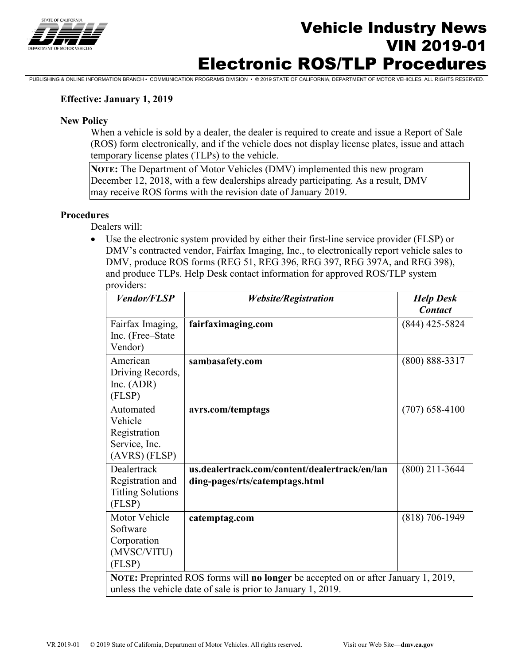

# Vehicle Industry News VIN 2019-01 Electronic ROS/TLP Procedures

PUBLISHING & ONLINE INFORMATION BRANCH • COMMUNICATION PROGRAMS DIVISION • © 2019 STATE OF CALIFORNIA, DEPARTMENT OF MOTOR VEHICLES. ALL RIGHTS RESERVED.

#### **Effective: January 1, 2019**

#### **New Policy**

When a vehicle is sold by a dealer, the dealer is required to create and issue a Report of Sale (ROS) form electronically, and if the vehicle does not display license plates, issue and attach temporary license plates (TLPs) to the vehicle.

**NOTE:** The Department of Motor Vehicles (DMV) implemented this new program December 12, 2018, with a few dealerships already participating. As a result, DMV may receive ROS forms with the revision date of January 2019.

#### **Procedures**

Dealers will:

• Use the electronic system provided by either their first-line service provider (FLSP) or DMV's contracted vendor, Fairfax Imaging, Inc., to electronically report vehicle sales to DMV, produce ROS forms (REG 51, REG 396, REG 397, REG 397A, and REG 398), and produce TLPs. Help Desk contact information for approved ROS/TLP system providers:

| <b>Vendor/FLSP</b>                                                                 | <b>Website/Registration</b>                   | <b>Help Desk</b>   |
|------------------------------------------------------------------------------------|-----------------------------------------------|--------------------|
|                                                                                    |                                               | <b>Contact</b>     |
| Fairfax Imaging,                                                                   | fairfaximaging.com                            | $(844)$ 425-5824   |
| Inc. (Free–State                                                                   |                                               |                    |
| Vendor)                                                                            |                                               |                    |
| American                                                                           | sambasafety.com                               | $(800) 888 - 3317$ |
| Driving Records,                                                                   |                                               |                    |
| Inc. $(ADR)$                                                                       |                                               |                    |
| (FLSP)                                                                             |                                               |                    |
| Automated                                                                          | avrs.com/temptags                             | $(707)$ 658-4100   |
| Vehicle                                                                            |                                               |                    |
| Registration                                                                       |                                               |                    |
| Service, Inc.                                                                      |                                               |                    |
| $(AVRS)$ (FLSP)                                                                    |                                               |                    |
| Dealertrack                                                                        | us.dealertrack.com/content/dealertrack/en/lan | $(800)$ 211-3644   |
| Registration and                                                                   | ding-pages/rts/catemptags.html                |                    |
| <b>Titling Solutions</b>                                                           |                                               |                    |
| (FLSP)                                                                             |                                               |                    |
| Motor Vehicle                                                                      | catemptag.com                                 | $(818)$ 706-1949   |
| Software                                                                           |                                               |                    |
| Corporation                                                                        |                                               |                    |
| (MVSC/VITU)                                                                        |                                               |                    |
| (FLSP)                                                                             |                                               |                    |
| NOTE: Preprinted ROS forms will no longer be accepted on or after January 1, 2019, |                                               |                    |
| unless the vehicle date of sale is prior to January 1, 2019.                       |                                               |                    |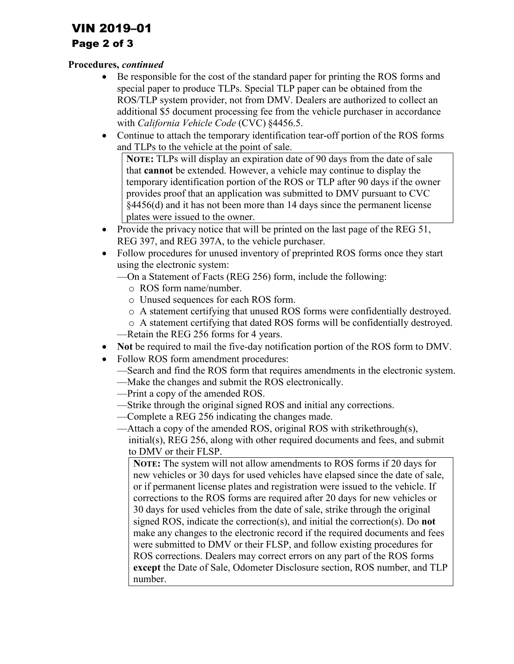# VIN 2019–01

## Page 2 of 3

### **Procedures,** *continued*

- Be responsible for the cost of the standard paper for printing the ROS forms and special paper to produce TLPs. Special TLP paper can be obtained from the ROS/TLP system provider, not from DMV. Dealers are authorized to collect an additional \$5 document processing fee from the vehicle purchaser in accordance with *California Vehicle Code* (CVC) §4456.5.
- Continue to attach the temporary identification tear-off portion of the ROS forms and TLPs to the vehicle at the point of sale.

**NOTE:** TLPs will display an expiration date of 90 days from the date of sale that **cannot** be extended. However, a vehicle may continue to display the temporary identification portion of the ROS or TLP after 90 days if the owner provides proof that an application was submitted to DMV pursuant to CVC §4456(d) and it has not been more than 14 days since the permanent license plates were issued to the owner.

- Provide the privacy notice that will be printed on the last page of the REG 51, REG 397, and REG 397A, to the vehicle purchaser.
- Follow procedures for unused inventory of preprinted ROS forms once they start using the electronic system:
	- —On a Statement of Facts (REG 256) form, include the following:
		- o ROS form name/number.
		- o Unused sequences for each ROS form.
		- o A statement certifying that unused ROS forms were confidentially destroyed.
	- o A statement certifying that dated ROS forms will be confidentially destroyed. —Retain the REG 256 forms for 4 years.
- **Not** be required to mail the five-day notification portion of the ROS form to DMV.
- Follow ROS form amendment procedures:
	- —Search and find the ROS form that requires amendments in the electronic system.
	- —Make the changes and submit the ROS electronically.
	- —Print a copy of the amended ROS.
	- —Strike through the original signed ROS and initial any corrections.
	- —Complete a REG 256 indicating the changes made.
	- —Attach a copy of the amended ROS, original ROS with strikethrough(s), initial(s), REG 256, along with other required documents and fees, and submit to DMV or their FLSP.

**NOTE:** The system will not allow amendments to ROS forms if 20 days for new vehicles or 30 days for used vehicles have elapsed since the date of sale, or if permanent license plates and registration were issued to the vehicle. If corrections to the ROS forms are required after 20 days for new vehicles or 30 days for used vehicles from the date of sale, strike through the original signed ROS, indicate the correction(s), and initial the correction(s). Do **not**  make any changes to the electronic record if the required documents and fees were submitted to DMV or their FLSP, and follow existing procedures for ROS corrections. Dealers may correct errors on any part of the ROS forms **except** the Date of Sale, Odometer Disclosure section, ROS number, and TLP number.